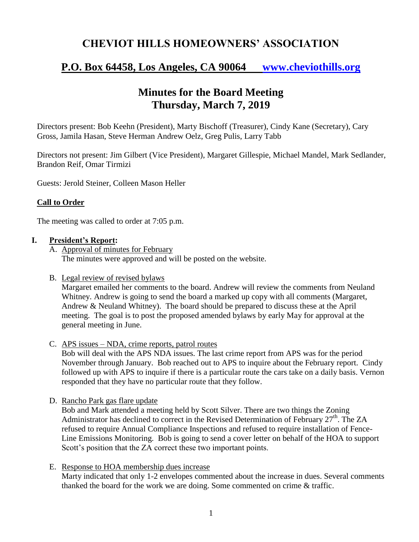## **CHEVIOT HILLS HOMEOWNERS' ASSOCIATION**

# **P.O. Box 64458, Los Angeles, CA 90064 [www.cheviothills.org](http://www.cheviothills.org/)**

# **Minutes for the Board Meeting Thursday, March 7, 2019**

Directors present: Bob Keehn (President), Marty Bischoff (Treasurer), Cindy Kane (Secretary), Cary Gross, Jamila Hasan, Steve Herman Andrew Oelz, Greg Pulis, Larry Tabb

Directors not present: Jim Gilbert (Vice President), Margaret Gillespie, Michael Mandel, Mark Sedlander, Brandon Reif, Omar Tirmizi

Guests: Jerold Steiner, Colleen Mason Heller

### **Call to Order**

The meeting was called to order at 7:05 p.m.

#### **I. President's Report:**

A. Approval of minutes for February The minutes were approved and will be posted on the website.

#### B. Legal review of revised bylaws

Margaret emailed her comments to the board. Andrew will review the comments from Neuland Whitney. Andrew is going to send the board a marked up copy with all comments (Margaret, Andrew & Neuland Whitney). The board should be prepared to discuss these at the April meeting. The goal is to post the proposed amended bylaws by early May for approval at the general meeting in June.

C. APS issues – NDA, crime reports, patrol routes

Bob will deal with the APS NDA issues. The last crime report from APS was for the period November through January. Bob reached out to APS to inquire about the February report. Cindy followed up with APS to inquire if there is a particular route the cars take on a daily basis. Vernon responded that they have no particular route that they follow.

D. Rancho Park gas flare update

Bob and Mark attended a meeting held by Scott Silver. There are two things the Zoning Administrator has declined to correct in the Revised Determination of February  $27<sup>th</sup>$ . The ZA refused to require Annual Compliance Inspections and refused to require installation of Fence-Line Emissions Monitoring. Bob is going to send a cover letter on behalf of the HOA to support Scott's position that the ZA correct these two important points.

E. Response to HOA membership dues increase

Marty indicated that only 1-2 envelopes commented about the increase in dues. Several comments thanked the board for the work we are doing. Some commented on crime & traffic.